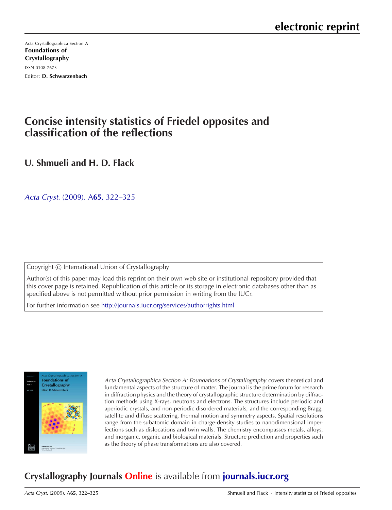[Acta Crystallographica Section A](http://journals.iucr.org/a/) Foundations of Crystallography ISSN 0108-7673 Editor: D. Schwarzenbach

## **Concise intensity statistics of Friedel opposites and classification of the reflections**

**U. Shmueli and H. D. Flack**

Acta Cryst. (2009). A**65**[, 322–325](http://dx.doi.org/10.1107/S0108767309011040)

Copyright © International Union of Crystallography

Author(s) of this paper may load this reprint on their own web site or institutional repository provided that this cover page is retained. Republication of this article or its storage in electronic databases other than as specified above is not permitted without prior permission in writing from the IUCr.

For further information see <http://journals.iucr.org/services/authorrights.html>



Acta Crystallographica Section A: Foundations of Crystallography covers theoretical and fundamental aspects of the structure of matter. The journal is the prime forum for research in diffraction physics and the theory of crystallographic structure determination by diffraction methods using X-rays, neutrons and electrons. The structures include periodic and aperiodic crystals, and non-periodic disordered materials, and the corresponding Bragg, satellite and diffuse scattering, thermal motion and symmetry aspects. Spatial resolutions range from the subatomic domain in charge-density studies to nanodimensional imperfections such as dislocations and twin walls. The chemistry encompasses metals, alloys, and inorganic, organic and biological materials. Structure prediction and properties such as the theory of phase transformations are also covered.

# **Crystallography Journals Online** is available from **[journals.iucr.org](http://journals.iucr.org)**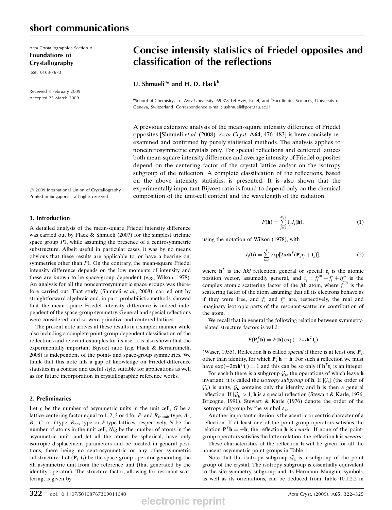Acta Crystallographica Section A Foundations of Crystallography

ISSN 0108-7673

Received 8 February 2009 Accepted 25 March 2009

### Concise intensity statistics of Friedel opposites and classification of the reflections

### U. Shmueli<sup>a\*</sup> and H. D. Flack<sup>b</sup>

<sup>a</sup>School of Chemistry, Tel Aviv University, 69978 Tel Aviv, Israel, and <sup>b</sup>Faculté des Sciences, University of Geneva, Switzerland. Correspondence e-mail: ushmueli@post.tau.ac.il

A previous extensive analysis of the mean-square intensity difference of Friedel opposites [Shmueli et al. (2008). Acta Cryst. <sup>A</sup>64, 476–483] is here concisely reexamined and confirmed by purely statistical methods. The analysis applies to noncentrosymmetric crystals only. For special reflections and centered lattices both mean-square intensity difference and average intensity of Friedel opposites depend on the centering factor of the crystal lattice and/or on the isotropy subgroup of the reflection. A complete classification of the reflections, based on the above intensity statistics, is presented. It is also shown that the experimentally important Bijvoet ratio is found to depend only on the chemical composition of the unit-cell content and the wavelength of the radiation.

 $\odot$  2009 International Union of Crystallography Printed in Singapore – all rights reserved

#### 1. Introduction

A detailed analysis of the mean-square Friedel intensity difference was carried out by Flack & Shmueli (2007) for the simplest triclinic space group P1, while assuming the presence of a centrosymmetric substructure. Albeit useful in particular cases, it was by no means obvious that these results are applicable to, or have a bearing on, symmetries other than P1. On the contrary, the mean-square Friedel intensity difference depends on the low moments of intensity and these are known to be space-group dependent (e.g., Wilson, 1978). An analysis for all the noncentrosymmetric space groups was therefore carried out. That study (Shmueli et al., 2008), carried out by straightforward algebraic and, in part, probabilistic methods, showed that the mean-square Friedel intensity difference is indeed independent of the space-group symmetry. General and special reflections were considered, and so were primitive and centered lattices.

The present note arrives at these results in a simpler manner while also including a complete point-group-dependent classification of the reflections and relevant examples for its use. It is also shown that the experimentally important Bijvoet ratio (e.g. Flack & Bernardinelli, 2008) is independent of the point- and space-group symmetries. We think that this note fills a gap of knowledge on Friedel-difference statistics in a concise and useful style, suitable for applications as well as for future incorporation in crystallographic reference works.

#### 2. Preliminaries

Let  $g$  be the number of asymmetric units in the unit cell,  $G$  be a lattice-centering factor equal to 1, 2, 3 or 4 for  $P$ - and  $R_{\text{rhomb}}$ -type,  $A$ -, B-, C- or I-type,  $R_{\text{hex}}$ -type or F-type lattices, respectively, N be the number of atoms in the unit cell, N/g be the number of atoms in the asymmetric unit, and let all the atoms be spherical, have only isotropic displacement parameters and be located in general positions, there being no centrosymmetric or any other symmetric substructure. Let  $(\mathbf{P}_i, \mathbf{t}_i)$  be the space-group operator generating the ith asymmetric unit from the reference unit (that generated by the ith asymmetric unit from the reference unit (that generated by the identity operator). The structure factor, allowing for resonant scattering, is given by

$$
F(\mathbf{h}) = \sum_{j=1}^{N/g} \mathbf{f}_j J_j(\mathbf{h}),
$$
\n(1)

using the notation of Wilson (1978), with

$$
J_j(\mathbf{h}) = \sum_{s=1}^{g} \exp[2\pi i \mathbf{h}^T (\mathbf{P}_s \mathbf{r}_j + \mathbf{t}_s)],
$$
 (2)

where  $\mathbf{h}^T$  is the hkl reflection, general or special,  $\mathbf{r}_i$  is the atomic position vector, assumedly general, and  $f_j = f_j^{(0)} + f_j' + if_j''$  is the complex atomic scattering factor of the *i*th atom where  $f_j^{(0)}$  is the position vector, assumedly general, and  $i_j = j_j + j_j + l_j$  is the complex atomic scattering factor of the *j*th atom, where  $f_j^{(0)}$  is the scattering factor of the atom assuming that all its electrons behave as scattering factor of the atom assuming that all its electrons behave as if they were free, and  $f_j'$  and  $f_j''$  are, respectively, the real and<br>imaginary isotronic parts of the resonant-scattering contribution of imaginary isotropic parts of the resonant-scattering contribution of the atom.

We recall that in general the following relation between symmetryrelated structure factors is valid:

$$
F(\mathbf{P}_s^T \mathbf{h}) = F(\mathbf{h}) \exp(-2\pi i \mathbf{h}^T \mathbf{t}_s)
$$

(Waser, 1955). Reflection **h** is called *special* if there is at least one  $P_s$ , other than identity, for which  $\mathbf{P}_s^T \mathbf{h} = \mathbf{h}$ . For such a reflection we must<br>have  $\exp(-2\pi i \mathbf{h}^T \mathbf{t}) = 1$  and this can be so only if  $\mathbf{h}^T \mathbf{t}$  is an integer have  $\exp(-2\pi i \mathbf{h}^T \mathbf{t}_s) = 1$  and this can be so only if  $\mathbf{h}^T \mathbf{t}_s$  is an integer.<br>For each **h** there is a subgroup G, the operations of which leave

For each **h** there is a subgroup  $\mathcal{G}_h$ , the operations of which leave **h** invariant; it is called the *isotropy subgroup* of **h**. If  $|\mathcal{G}_h|$  (the order of  $\mathcal{G}_h$ ) is unity,  $\mathcal{G}_h$  contains only the identity and **h** is then a general reflection. If  $|\mathcal{G}_h| > 1$ , **h** is a special reflection (Stewart & Karle, 1976; Bricogne, 1991). Stewart & Karle (1976) denote the order of the isotropy subgroup by the symbol  $\varepsilon_{\bf h}$ .

Another important criterion is the acentric or centric character of a reflection. If at least one of the point-group operators satisfies the relation  $\mathbf{P}^T \mathbf{h} = -\mathbf{h}$ , the reflection **h** is *centric*. If none of the pointgroup operators satisfies the latter relation, the reflection <sup>h</sup> is acentric.

These characteristics of the reflection h will be given for all the noncentrosymmetric point groups in Table 1.

Note that the isotropy subgroup  $G_h$  is a subgroup of the point group of the crystal. The isotropy subgroup is essentially equivalent to the site-symmetry subgroup and its Hermann–Mauguin symbols, as well as its orientations, can be deduced from Table 10.1.2.2 in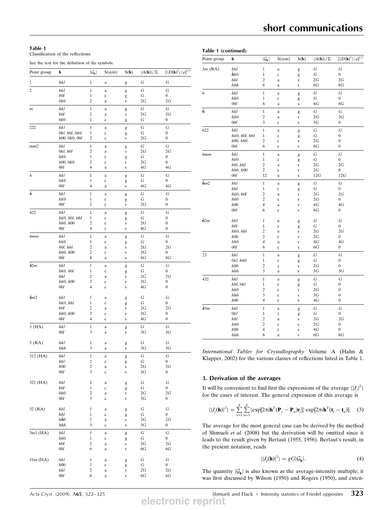#### Table 1

Classification of the reflections.

See the text for the definition of the symbols.

| Point group      | h                              | $ \mathcal{G}_h $            | S(sym)                  | S(h)           | $\langle A(\mathbf{h})\rangle/\Sigma$ | $[\langle D(\textbf{h})^2 \rangle/\rho]^{1/2}$ |
|------------------|--------------------------------|------------------------------|-------------------------|----------------|---------------------------------------|------------------------------------------------|
| 1                | hkl                            | $\mathbf{1}$                 | a                       | g              | G                                     | G                                              |
| $\boldsymbol{2}$ | hkl                            | $\mathbf{1}$                 | a                       | g              | G                                     | G                                              |
|                  | h0l                            | $\mathbf{1}$                 | c                       | g              | G                                     | $\boldsymbol{0}$                               |
| $\boldsymbol{m}$ | 0k0                            | 2                            | a                       | S              | 2G                                    | 2G                                             |
|                  | hkl<br>h0l                     | $\mathbf{1}$<br>2            | a<br>a                  | g<br>s         | G<br>2G                               | G<br>2G                                        |
|                  | 0k0                            | $\mathbf{1}$                 | c                       | g              | G                                     | $\boldsymbol{0}$                               |
| 222              | hkl                            | $\mathbf{1}$                 | a                       | g              | G                                     | G                                              |
|                  | 0kl, h0l, hk0<br>h00, 0k0, 00l | $\mathbf{1}$<br>2            | c<br>c                  | g<br>s         | G<br>2G                               | $\boldsymbol{0}$<br>$\boldsymbol{0}$           |
| mm2              | hkl                            | $\mathbf{1}$                 | a                       | g              | G                                     | G                                              |
|                  | 0kl, h0l                       | 2                            | a                       | s              | 2G                                    | 2G                                             |
|                  | hk0<br>h00, 0k0                | $\mathbf{1}$<br>2            | $\mathbf c$<br>c        | g<br>S         | G<br>2G                               | $\boldsymbol{0}$<br>$\boldsymbol{0}$           |
|                  | 001                            | 4                            | a                       | S              | $4G$                                  | 4G                                             |
| 4                | hkl                            | $\mathbf{1}$                 | a                       | g              | G                                     | G                                              |
|                  | hk0<br>001                     | 1<br>4                       | c<br>a                  | g<br>S         | G<br>$4G\,$                           | $\boldsymbol{0}$<br>4G                         |
| 4                | hkl                            | $\,1\,$                      | a                       | g              | G                                     | G                                              |
|                  | hk0                            | $\mathbf{1}$                 | c                       | g              | G                                     | $\boldsymbol{0}$                               |
|                  | 001                            | 2                            | c                       | s              | 2G                                    | $\boldsymbol{0}$                               |
| 422<br>4mm       | hkl<br>hk0, h0l, hhl           | $\mathbf{1}$<br>$\mathbf{1}$ | a<br>c                  | g<br>g         | G<br>G                                | G<br>$\boldsymbol{0}$                          |
|                  | hh0, h00                       | 2                            | c                       | S              | 2G                                    | $\boldsymbol{0}$                               |
|                  | 001                            | 4                            | $\mathbf c$             | S              | $4G$                                  | $\boldsymbol{0}$                               |
|                  | hkl<br>hk0                     | $\mathbf{1}$<br>$\mathbf{1}$ | a<br>$\mathbf c$        | g<br>g         | G<br>G                                | G<br>$\boldsymbol{0}$                          |
|                  | h0l, hhl                       | 2                            | a                       | S              | 2G                                    | 2G                                             |
|                  | hh0, h00<br>001                | 2<br>8                       | $\mathbf c$<br>a        | S<br>s         | 2G<br>8G                              | $\boldsymbol{0}$<br>8G                         |
| $\bar{4}2m$      | hkl                            | $\mathbf{1}$                 | a                       |                | G                                     | G                                              |
|                  | hk0, h0l                       | $\mathbf{1}$                 | c                       | g<br>g         | G                                     | $\boldsymbol{0}$                               |
|                  | hhl<br>hh0, h00                | 2<br>2                       | a<br>c                  | S<br>S         | 2G<br>2G                              | 2G<br>$\boldsymbol{0}$                         |
|                  | 001                            | 4                            | $\mathbf c$             | S              | 4G                                    | $\boldsymbol{0}$                               |
| $\bar{4}m2$      | hkl                            | 1                            | a                       |                | G                                     | G                                              |
|                  | hk0, hhl                       | $\mathbf{1}$                 | c                       | g<br>g         | G                                     | 0                                              |
|                  | h0l<br>hh0, h00                | 2<br>2                       | a<br>$\mathbf c$        | S<br>S         | 2G<br>2G                              | 2G<br>$\boldsymbol{0}$                         |
|                  | 00l                            | 4                            | $\mathbf c$             | S              | 4G                                    | $\boldsymbol{0}$                               |
| 3(HA)            | hkl                            | 1                            | a                       | g              | G                                     | G                                              |
|                  | 00l                            | 3                            | a                       | s              | 3G                                    | 3G                                             |
| 3(RA)            | hkl                            | 1                            | a                       | g              | G                                     | G                                              |
|                  | hhh                            | 3                            | a                       | s              | 3G                                    | 3G                                             |
| 312 (HA)         | $hkl$<br>hhl                   | $\mathbf{1}$<br>$\mathbf{1}$ | a                       | g              | G<br>G                                | G<br>$\boldsymbol{0}$                          |
|                  | h00                            | 2                            | $\mathbf c$<br>a        | g<br>${\bf S}$ | 2G                                    | 2G                                             |
|                  | 00l                            | 3                            | $\mathbf c$             | $\bf S$        | 3G                                    | $\boldsymbol{0}$                               |
| 321 (HA)         | hkl                            | $\mathbf{1}$                 | a                       | g              | G                                     | G                                              |
|                  | h0l<br>hh0                     | $\mathbf{1}$<br>2            | $\mathbf c$<br>a        | g<br>${\bf S}$ | G<br>2G                               | 0<br>2G                                        |
|                  | 00l                            | 3                            | $\mathbf c$             | $\bf S$        | 3G                                    | 0                                              |
| 32 (RA)          | hkl                            | $\mathbf{1}$                 | a                       |                | G                                     | G                                              |
|                  | hhl                            | $\mathbf{1}$                 | $\mathbf c$             | g<br>g         | G                                     | 0                                              |
|                  | $h\bar{h}0$<br>hhh             | 2<br>3                       | a                       | s              | 2G<br>3G                              | $2G\,$<br>$\boldsymbol{0}$                     |
| $3m1$ (HA)       | hkl                            | $\mathbf{1}$                 | $\mathbf c$<br>$\bf{a}$ | S              | G                                     | $\cal G$                                       |
|                  | hh0                            | $\mathbf{1}$                 | $\mathbf c$             | g<br>g         | G                                     | 0                                              |
|                  | h0l                            | 2<br>6                       | a                       | ${\bf S}$      | 2G<br>$6G\,$                          | $2G\,$<br>6G                                   |
|                  | 001                            |                              | a                       | ${\bf S}$      |                                       |                                                |
| $31m$ (HA)       | hkl                            | $\mathbf{1}$                 | a                       | g              | G                                     | G                                              |
|                  | h00<br>hhl                     | $\mathbf{1}$<br>2            | $\mathbf c$<br>a        | g<br>s         | G<br>2G                               | 0<br>$2G\,$                                    |
|                  | 001                            | 6                            | a                       | S              | $6G\,$                                | $6G\,$                                         |

| Point group  | h             | $ \mathcal{G}_h $       | S(sym)      | S(h)      | $\langle A({\bf h})\rangle/\Sigma$ | ${[\langle D(\textbf{h})^2\rangle/\rho]}^{1/2}$ |
|--------------|---------------|-------------------------|-------------|-----------|------------------------------------|-------------------------------------------------|
| $3m$ (RA)    | hkl           | $\mathbf{1}$            | a           | g         | G                                  | G                                               |
|              | hh0           | 1                       | $\mathbf c$ | g         | G                                  | $\boldsymbol{0}$                                |
|              | hhl           | $\overline{c}$          | a           | S         | 2G                                 | 2G                                              |
|              | hhh           | 6                       | a           | s         | 6G                                 | 6G                                              |
| 6            | hkl           | $\overline{1}$          | a           | g         | G                                  | G                                               |
|              | hk0           | $\mathbf 1$             | $\mathbf c$ | g         | G                                  | $\boldsymbol{0}$                                |
|              | 00l           | 6                       | a           | ${\bf S}$ | 6G                                 | 6G                                              |
| $\bar{6}$    | hkl           | $\,1$                   | a           | g         | $\cal G$                           | G                                               |
|              | hk0           | $\overline{\mathbf{c}}$ | a           | $\bf S$   | 2G                                 | 2G                                              |
|              | 00l           | 3                       | $\mathbf c$ | $\bf S$   | 3G                                 | 0                                               |
| 622          | hkl           | 1                       | $\rm{a}$    | g         | G                                  | G                                               |
|              | hk0, h0l, hhl | $\mathbf 1$             | $\mathbf c$ | g         | G                                  | 0                                               |
|              | h00, hh0      | 2                       | $\mathbf c$ | ${\bf S}$ | 2G                                 | 0                                               |
|              | 001           | 6                       | $\mathbf c$ | $\bf S$   | 6G                                 | $\boldsymbol{0}$                                |
| 6mm          | hkl           | $\mathbf{1}$            | a           | g         | G                                  | G                                               |
|              | hk0           | $\,1$                   | $\mathbf c$ | g         | G                                  | $\boldsymbol{0}$                                |
|              | h0l, hhl      | 2                       | a           | $\bf S$   | 2G                                 | 2G                                              |
|              | hh0, h00      | 2                       | $\mathbf c$ | $\bf S$   | 2G                                 | $\boldsymbol{0}$                                |
|              | 00l           | 12                      | a           | $\bf S$   | 12G                                | 12G                                             |
| $\bar{6}m2$  | hkl           | $\,1$                   | a           | g         | G                                  | G                                               |
|              | hhl           | $\mathbf{1}$            | $\mathbf c$ | g         | G                                  | 0                                               |
|              | hk0, h0l      | $\overline{c}$          | a           | $\bf S$   | 2G                                 | 2G                                              |
|              | hh0           | $\overline{c}$          | $\mathbf c$ | $\bf{s}$  | 2G                                 | 0                                               |
|              | h00           | $\overline{4}$          | a           | S         | 4G                                 | $4G$                                            |
|              | 00l           | 6                       | $\mathbf c$ | s         | 6G                                 | $\boldsymbol{0}$                                |
| $\bar{6}$ 2m | hkl           | $\mathbf{1}$            | a           | g         | G                                  | G                                               |
|              | h0l           | 1                       | $\mathbf c$ | g         | G                                  | $\boldsymbol{0}$                                |
|              | hk0, hhl      | $\overline{\mathbf{c}}$ | a           | $\bf S$   | 2G                                 | 2G                                              |
|              | h00           | $\overline{c}$          | $\mathbf c$ | $\bf S$   | 2G                                 | 0                                               |
|              | hh0           | 4                       | a           | $\bf S$   | 4G                                 | 4G                                              |
|              | 00l           | 6                       | $\mathbf c$ | s         | 6G                                 | 0                                               |
| 23           | hkl           | $\mathbf{1}$            | a           | g         | G                                  | G                                               |
|              | 0kl, hh0      | 1                       | $\mathbf c$ | g         | G                                  | $\boldsymbol{0}$                                |
|              | h00           | $\overline{\mathbf{c}}$ | $\mathbf c$ | $\bf S$   | 2G                                 | 0                                               |
|              | hhh           | 3                       | a           | $\bf S$   | 3G                                 | 3G                                              |
| 432          | hkl           | $\mathbf{1}$            | a           | g         | G                                  | G                                               |
|              | hhl, 0kl      | $\mathbf{1}$            | $\mathbf c$ | g         | G                                  | 0                                               |
|              | hh0           | $\overline{c}$          | $\mathbf c$ | $\bf S$   | 2G                                 | 0                                               |
|              | hhh           | 3                       | $\mathbf c$ | $\bf S$   | 3G                                 | $\boldsymbol{0}$                                |
|              | h00           | $\overline{4}$          | $\mathbf c$ | s         | 4G                                 | $\boldsymbol{0}$                                |
| 43m          | hkl           | $\mathbf{1}$            | $\rm{a}$    | g         | G                                  | G                                               |
|              | 0kl           | $\,1$                   | $\mathbf c$ | g         | G                                  | $\boldsymbol{0}$                                |
|              | hhl           | $\overline{\mathbf{c}}$ | a           | $\bf S$   | 2G                                 | 2G                                              |
|              | hh0           | $\overline{c}$          | $\mathbf c$ | $\bf S$   | 2G                                 | 0                                               |
|              | h00           | $\overline{4}$          | $\mathbf c$ | $\bf S$   | 4G                                 | $\boldsymbol{0}$                                |
|              | hhh           | 6                       | a           | S         | 6G                                 | 6G                                              |

International Tables for Crystallography Volume A (Hahn & Klapper, 2002) for the various classes of reflections listed in Table 1.

#### 3. Derivation of the averages

It will be convenient to find first the expressions of the average  $\langle |J_j|^2 \rangle$  for the cases of interest. The general expression of this average is for the cases of interest. The general expression of this average is i

$$
\langle |J_j(\mathbf{h})|^2 \rangle = \sum_{s=1}^g \sum_{u=1}^g \langle \exp[2\pi i \mathbf{h}^T (\mathbf{P}_s - \mathbf{P}_u) \mathbf{r}_j] \rangle \exp[2\pi i \mathbf{h}^T (\mathbf{t}_s - \mathbf{t}_u)]. \quad (3)
$$

The average for the most general case can be derived by the method of Shmueli et al. (2008) but the derivation will be omitted since it leads to the result given by Bertaut (1955, 1956). Bertaut's result, in the present notation, reads

$$
\langle |J_j(\mathbf{h})|^2 \rangle = gG|\mathcal{G}_{\mathbf{h}}|.\tag{4}
$$

The quantity  $|\mathcal{G}_h|$  is also known as the average-intensity multiple; it was first discussed by Wilson (1950) and Rogers (1950), and exten-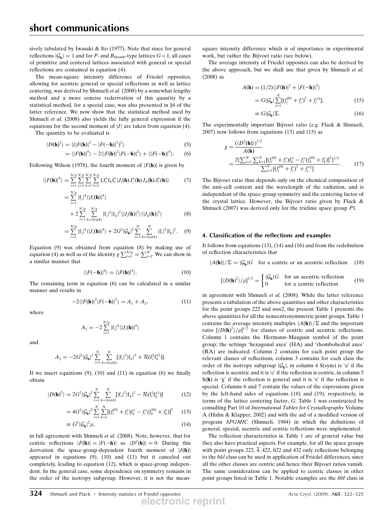sively tabulated by Iwasaki & Ito (1977). Note that since for general reflections  $|\mathcal{G}_{h}| = 1$  and for P- and  $R_{\text{rhomb}}$ -type lattices  $G = 1$ , all cases of primitive and centered lattices associated with general or special reflections are contained in equation (4).

The mean-square intensity difference of Friedel opposites, allowing for acentric general or special reflections as well as lattice centering, was derived by Shmueli et al. (2008) by a somewhat lengthy method and a more concise rederivation of this quantity by a statistical method, for a special case, was also presented in §4 of the latter reference. We now show that the statistical method used by Shmueli et al. (2008) also yields the fully general expression if the equations for the second moment of  $|J|$  are taken from equation (4).

The quantity to be evaluated is

$$
\langle D(\mathbf{h})^2 \rangle = \langle (|F(\mathbf{h})|^2 - |F(-\mathbf{h})|^2)^2 \rangle \tag{5}
$$

$$
= \langle |F(\mathbf{h})|^4 \rangle - 2 \langle |F(\mathbf{h})|^2 |F(-\mathbf{h})|^2 \rangle + \langle |F(-\mathbf{h})|^4 \rangle. \tag{6}
$$

Following Wilson (1978), the fourth moment of  $|F(\mathbf{h})|$  is given by

$$
\langle |F(\mathbf{h})|^4 \rangle = \sum_{i=1}^{N/g} \sum_{j=1}^{N/g} \sum_{k=1}^{N/g} \sum_{l=1}^{N/g} \mathbf{f}_i \mathbf{f}_j^* \mathbf{f}_k \mathbf{f}_l^* \langle J_i(\mathbf{h}) J_j^*(\mathbf{h}) J_k(\mathbf{h}) J_i^*(\mathbf{h}) \rangle \tag{7}
$$

$$
= \sum_{i=1}^{N/g} |f_i|^4 \langle |J_i(\mathbf{h})|^4 \rangle
$$
  
+ 
$$
2 \sum_{i=1}^{N/g} \sum_{k=1(i \neq k)}^{N/g} |f_i|^2 |f_k|^2 \langle |J_i(\mathbf{h})|^2 \rangle \langle |J_k(\mathbf{h})|^2 \rangle
$$
 (8)

$$
= \sum_{i=1}^{N/g} |f_i|^4 \langle |J_i(\mathbf{h})|^4 \rangle + 2G^2 |\mathcal{G}_{\mathbf{h}}|^2 \sum_{i=1}^N \sum_{k=1 (i \neq k)}^N |f_i|^2 |f_k|^2. \tag{9}
$$

Equation (9) was obtained from equation (8) by making use of equation (4) as well as of the identity  $g\sum_{i=1}^{N/g} = \sum_{i=1}^{N}$ . We can show in a similar manner that

$$
\langle |F(-\mathbf{h})|^4 \rangle = \langle |F(\mathbf{h})|^4 \rangle. \tag{10}
$$

The remaining term in equation (6) can be calculated in a similar manner and results in

$$
-2\langle |F(\mathbf{h})|^2|F(-\mathbf{h})|^2\rangle = A_1 + A_2,\tag{11}
$$

where

$$
A_1 = -2 \sum_{i=1}^{N/g} |f_i|^4 \langle |J_i(\mathbf{h})|^4 \rangle
$$

and

$$
A_2 = -2G^2 |\mathcal{G}_{\mathbf{h}}|^2 \sum_{i=1}^N \sum_{k=1(i\neq k)}^N [[f_i]^2 |f_k|^2 + \mathcal{R}(f_i^2 f_k^{*2})].
$$

If we insert equations  $(9)$ ,  $(10)$  and  $(11)$  in equation  $(6)$  we finally obtain

$$
\langle D(\mathbf{h})^2 \rangle = 2G^2 |\mathcal{G}_{\mathbf{h}}|^2 \sum_{i=1}^N \sum_{k=1(i \neq k)}^N [|\mathbf{f}_i|^2 |\mathbf{f}_k|^2 - \mathcal{R}(\mathbf{f}_i^2 \mathbf{f}_k^{*2})] \tag{12}
$$

$$
=4G^{2}|\mathcal{G}_{\mathbf{h}}|^{2}\sum_{i=1}^{N}\sum_{k=1}^{N}[(f_{i}^{(0)}+f_{i}')f_{k}''-f_{i}''(f_{k}^{(0)}+f_{k}')]^{2}
$$
 (13)

$$
\equiv G^2 |\mathcal{G}_h|^2 \rho,\tag{14}
$$

in full agreement with Shmueli et al. (2008). Note, however, that for centric reflections  $|F(\mathbf{h})| = |F(-\mathbf{h})|$  so  $\langle D^2(\mathbf{h}) \rangle = 0$ . During this derivation the space-group-dependent fourth moment of  $|J(\mathbf{h})|$ appeared in equations (9), (10) and (11) but it canceled out completely, leading to equation (12), which is space-group independent. In the general case, some dependence on symmetry remains in the order of the isotropy subgroup. However, it is not the meansquare intensity difference which is of importance in experimental work, but rather the Bijvoet ratio (see below).

The average intensity of Friedel opposites can also be derived by the above approach, but we shall use that given by Shmueli et al. (2008) as

$$
A(\mathbf{h}) = (1/2)\langle |F(\mathbf{h})|^2 + |F(-\mathbf{h})|^2 \rangle
$$
  
=  $G|\mathcal{G}_{\mathbf{h}}| \sum_{j=1}^{N} [(f_j^{(0)} + f_j')^2 + f_j'^2],$  (15)

$$
\equiv G|\mathcal{G}_{\mathbf{h}}|\Sigma. \tag{16}
$$

The experimentally important Bijvoet ratio (e.g. Flack & Shmueli, 2007) now follows from equations (13) and (15) as

$$
\chi = \frac{(\langle D^2(\mathbf{h}) \rangle)^{1/2}}{A(\mathbf{h})}
$$
  
= 
$$
\frac{2\{\sum_{i=1}^N \sum_{k=1}^N [(f_i^{(0)} + f_i')f_k'' - f_i''(f_k^{(0)} + f_k')]^2\}^{1/2}}{\sum_{j=1}^N [(f_j^{(0)} + f_j')^2 + f_j'^2]}.
$$
(17)

The Bijvoet ratio thus depends only on the chemical composition of the unit-cell content and the wavelength of the radiation, and is independent of the space-group symmetry and the centering factor of the crystal lattice. However, the Bijvoet ratio given by Flack & Shmueli (2007) was derived only for the triclinic space group P1.

#### 4. Classification of the reflections and examples

It follows from equations (13), (14) and (16) and from the redefinition of reflection characteristics that

 $\langle A(\mathbf{h})\rangle/\Sigma=|\mathcal{G}_{\mathbf{h}}|G$  for a centric or an acentric reflection (18)

$$
[\langle D(\mathbf{h})^2 \rangle / \rho]^{1/2} = \begin{cases} |\mathcal{G}_{\mathbf{h}}|G & \text{for an acentric reflection} \\ 0 & \text{for a centric reflection} \end{cases}
$$
 (19)

in agreement with Shmueli et al. (2008). While the latter reference presents a tabulation of the above quantities and other characteristics for the point groups 222 and mm2, the present Table 1 presents the above quantities for all the noncentrosymmetric point groups. Table 1 contains the average intensity multiples  $\langle A(\mathbf{h})\rangle/\Sigma$  and the important<br>ratio  $I/D(\mathbf{h})^2/\sqrt{a^{1/2}}$  for classes of centric and acentric reflections ratio  $[(D(h)^2)/\rho]^{1/2}$  for classes of centric and acentric reflections.<br>Column 1 contains the Hermann Mauguin symbol of the point Column 1 contains the Hermann–Mauguin symbol of the point group; the settings 'hexagonal axes' (HA) and 'rhombohedral axes' (RA) are indicated. Column 2 contains for each point group the relevant classes of reflections, column 3 contains for each class the order of the isotropy subgroup  $|\mathcal{G}_h|$ , in column 4 S(sym) is 'a' if the reflection is acentric and it is 'c' if the reflection is centric, in column 5  $S(h)$  is 'g' if the reflection is general and it is 's' if the reflection is special. Columns 6 and 7 contain the values of the expressions given by the left-hand sides of equations (18) and (19), respectively, in terms of the lattice centering factor, G. Table 1 was constructed by consulting Part 10 of International Tables for Crystallography Volume A (Hahn & Klapper, 2002) and with the aid of a modified version of program SPGMIC (Shmueli, 1984) in which the definitions of general, special, acentric and centric reflections were implemented.

The reflection characteristics in Table 1 are of general value but they also have practical aspects. For example, for all the space groups with point groups 222, 4, 422, 622 and 432 only reflections belonging to the hkl class can be used in application of Friedel differences, since all the other classes are centric and hence their Bijvoet ratios vanish. The same consideration can be applied to centric classes in other point groups listed in Table 1. Notable examples are the h0l class in

**electronic reprint**